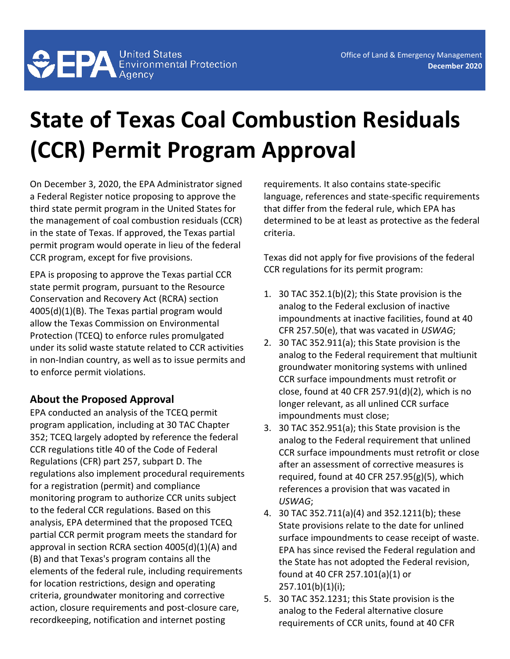## **State of Texas Coal Combustion Residuals (CCR) Permit Program Approval**

On December 3, 2020, the EPA Administrator signed a Federal Register notice proposing to approve the third state permit program in the United States for the management of coal combustion residuals (CCR) in the state of Texas. If approved, the Texas partial permit program would operate in lieu of the federal CCR program, except for five provisions.

EPA is proposing to approve the Texas partial CCR state permit program, pursuant to the Resource Conservation and Recovery Act (RCRA) section 4005(d)(1)(B). The Texas partial program would allow the Texas Commission on Environmental Protection (TCEQ) to enforce rules promulgated under its solid waste statute related to CCR activities in non-Indian country, as well as to issue permits and to enforce permit violations.

## **About the Proposed Approval**

EPA conducted an analysis of the TCEQ permit program application, including at 30 TAC Chapter 352; TCEQ largely adopted by reference the federal CCR regulations title 40 of the Code of Federal Regulations (CFR) part 257, subpart D. The regulations also implement procedural requirements for a registration (permit) and compliance monitoring program to authorize CCR units subject to the federal CCR regulations. Based on this analysis, EPA determined that the proposed TCEQ partial CCR permit program meets the standard for approval in section RCRA section 4005(d)(1)(A) and (B) and that Texas's program contains all the elements of the federal rule, including requirements for location restrictions, design and operating criteria, groundwater monitoring and corrective action, closure requirements and post-closure care, recordkeeping, notification and internet posting

requirements. It also contains state-specific language, references and state-specific requirements that differ from the federal rule, which EPA has determined to be at least as protective as the federal criteria.

Texas did not apply for five provisions of the federal CCR regulations for its permit program:

- 1. 30 TAC 352.1(b)(2); this State provision is the analog to the Federal exclusion of inactive impoundments at inactive facilities, found at 40 CFR 257.50(e), that was vacated in *USWAG*;
- 2. 30 TAC 352.911(a); this State provision is the analog to the Federal requirement that multiunit groundwater monitoring systems with unlined CCR surface impoundments must retrofit or close, found at 40 CFR 257.91(d)(2), which is no longer relevant, as all unlined CCR surface impoundments must close;
- 3. 30 TAC 352.951(a); this State provision is the analog to the Federal requirement that unlined CCR surface impoundments must retrofit or close after an assessment of corrective measures is required, found at 40 CFR  $257.95(g)(5)$ , which references a provision that was vacated in *USWAG*;
- 4. 30 TAC 352.711(a)(4) and 352.1211(b); these State provisions relate to the date for unlined surface impoundments to cease receipt of waste. EPA has since revised the Federal regulation and the State has not adopted the Federal revision, found at 40 CFR 257.101(a)(1) or 257.101(b)(1)(i);
- 5. 30 TAC 352.1231; this State provision is the analog to the Federal alternative closure requirements of CCR units, found at 40 CFR